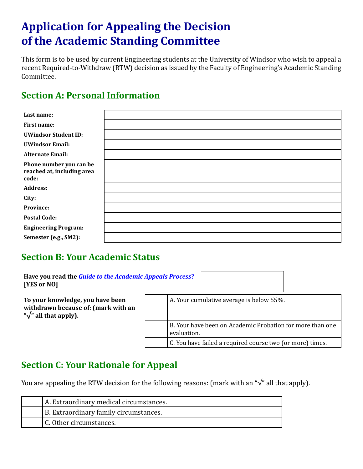# **Application for Appealing the Decision of the Academic Standing Committee**

This form is to be used by current Engineering students at the University of Windsor who wish to appeal a recent Required-to-Withdraw (RTW) decision as issued by the Faculty of Engineering's Academic Standing Committee.

## **Section A: Personal Information**

| Last name:                                                     |  |
|----------------------------------------------------------------|--|
| <b>First name:</b>                                             |  |
| <b>UWindsor Student ID:</b>                                    |  |
| <b>UWindsor Email:</b>                                         |  |
| <b>Alternate Email:</b>                                        |  |
| Phone number you can be<br>reached at, including area<br>code: |  |
| <b>Address:</b>                                                |  |
| City:                                                          |  |
| Province:                                                      |  |
| <b>Postal Code:</b>                                            |  |
| <b>Engineering Program:</b>                                    |  |
| Semester (e.g., SM2):                                          |  |

## **Section B: Your Academic Status**

| Have you read the <i>Guide to the Academic Appeals Process</i> ?<br>[YES or NO]                            |                                                                          |
|------------------------------------------------------------------------------------------------------------|--------------------------------------------------------------------------|
| To your knowledge, you have been<br>withdrawn because of: (mark with an<br>" $\sqrt{ }$ " all that apply). | A. Your cumulative average is below 55%.                                 |
|                                                                                                            | B. Your have been on Academic Probation for more than one<br>evaluation. |
|                                                                                                            | C. You have failed a required course two (or more) times.                |

#### **Section C: Your Rationale for Appeal**

You are appealing the RTW decision for the following reasons: (mark with an "√" all that apply).

| A. Extraordinary medical circumstances. |
|-----------------------------------------|
| B. Extraordinary family circumstances.  |
| C. Other circumstances.                 |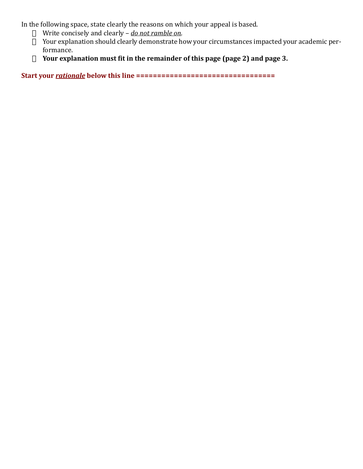In the following space, state clearly the reasons on which your appeal is based.

- □ Write concisely and clearly *do not ramble on*.
- $\Box$  Your explanation should clearly demonstrate how your circumstances impacted your academic performance.
- · **Your explanation must fit in the remainder of this page (page 2) and page 3.**

**Start your** *rationale* **below this line =================================**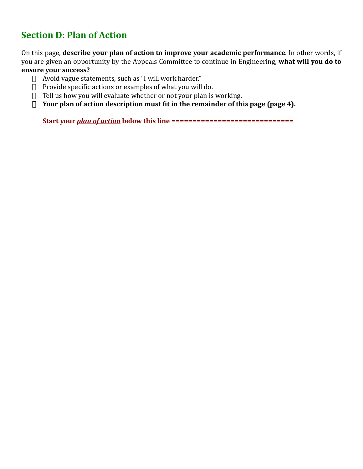# **Section D: Plan of Action**

On this page, **describe your plan of action to improve your academic performance**. In other words, if you are given an opportunity by the Appeals Committee to continue in Engineering, **what will you do to ensure your success?**

- $\Box$  Avoid vague statements, such as "I will work harder."
- $\Box$  Provide specific actions or examples of what you will do.
- $\Box$  Tell us how you will evaluate whether or not your plan is working.
- $\Box$  Your plan of action description must fit in the remainder of this page (page 4).

**Start your** *plan of action* **below this line =============================**